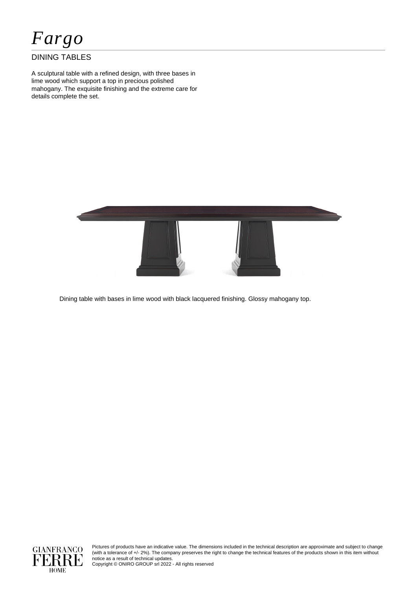*Fargo*

## DINING TABLES

A sculptural table with a refined design, with three bases in lime wood which support a top in precious polished mahogany. The exquisite finishing and the extreme care for details complete the set.



Dining table with bases in lime wood with black lacquered finishing. Glossy mahogany top.



Pictures of products have an indicative value. The dimensions included in the technical description are approximate and subject to change (with a tolerance of +/- 2%). The company preserves the right to change the technical features of the products shown in this item without notice as a result of technical updates.